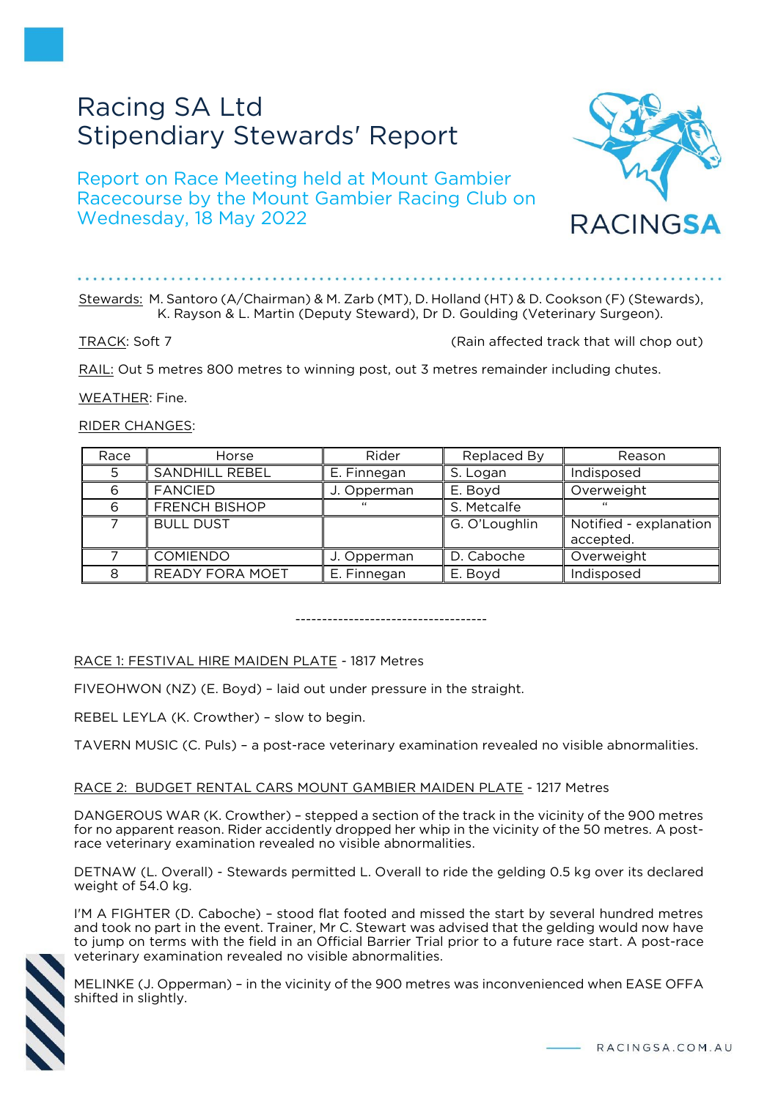# Racing SA Ltd Stipendiary Stewards' Report

Report on Race Meeting held at Mount Gambier Racecourse by the Mount Gambier Racing Club on Wednesday, 18 May 2022



#### Stewards: M. Santoro (A/Chairman) & M. Zarb (MT), D. Holland (HT) & D. Cookson (F) (Stewards), K. Rayson & L. Martin (Deputy Steward), Dr D. Goulding (Veterinary Surgeon).

# TRACK: Soft 7 (Rain affected track that will chop out)

RACINGSA

RAIL: Out 5 metres 800 metres to winning post, out 3 metres remainder including chutes.

WEATHER: Fine.

RIDER CHANGES:

| Race | Horse                  | Rider       | Replaced By   | Reason                 |
|------|------------------------|-------------|---------------|------------------------|
| 5    | SANDHILL REBEL         | E. Finnegan | S. Logan      | Indisposed             |
| 6    | <b>FANCIED</b>         | J. Opperman | E. Boyd       | Overweight             |
| 6    | <b>FRENCH BISHOP</b>   | $\epsilon$  | S. Metcalfe   | "                      |
|      | <b>BULL DUST</b>       |             | G. O'Loughlin | Notified - explanation |
|      |                        |             |               | accepted.              |
|      | <b>COMIENDO</b>        | J. Opperman | D. Caboche    | Overweight             |
| 8    | <b>READY FORA MOET</b> | E. Finnegan | E. Boyd       | Indisposed             |

------------------------------------

# RACE 1: FESTIVAL HIRE MAIDEN PLATE - 1817 Metres

FIVEOHWON (NZ) (E. Boyd) – laid out under pressure in the straight.

REBEL LEYLA (K. Crowther) – slow to begin.

TAVERN MUSIC (C. Puls) – a post-race veterinary examination revealed no visible abnormalities.

# RACE 2: BUDGET RENTAL CARS MOUNT GAMBIER MAIDEN PLATE - 1217 Metres

DANGEROUS WAR (K. Crowther) – stepped a section of the track in the vicinity of the 900 metres for no apparent reason. Rider accidently dropped her whip in the vicinity of the 50 metres. A postrace veterinary examination revealed no visible abnormalities.

DETNAW (L. Overall) - Stewards permitted L. Overall to ride the gelding 0.5 kg over its declared weight of 54.0 kg.

I'M A FIGHTER (D. Caboche) – stood flat footed and missed the start by several hundred metres and took no part in the event. Trainer, Mr C. Stewart was advised that the gelding would now have to jump on terms with the field in an Official Barrier Trial prior to a future race start. A post-race veterinary examination revealed no visible abnormalities.



MELINKE (J. Opperman) – in the vicinity of the 900 metres was inconvenienced when EASE OFFA shifted in slightly.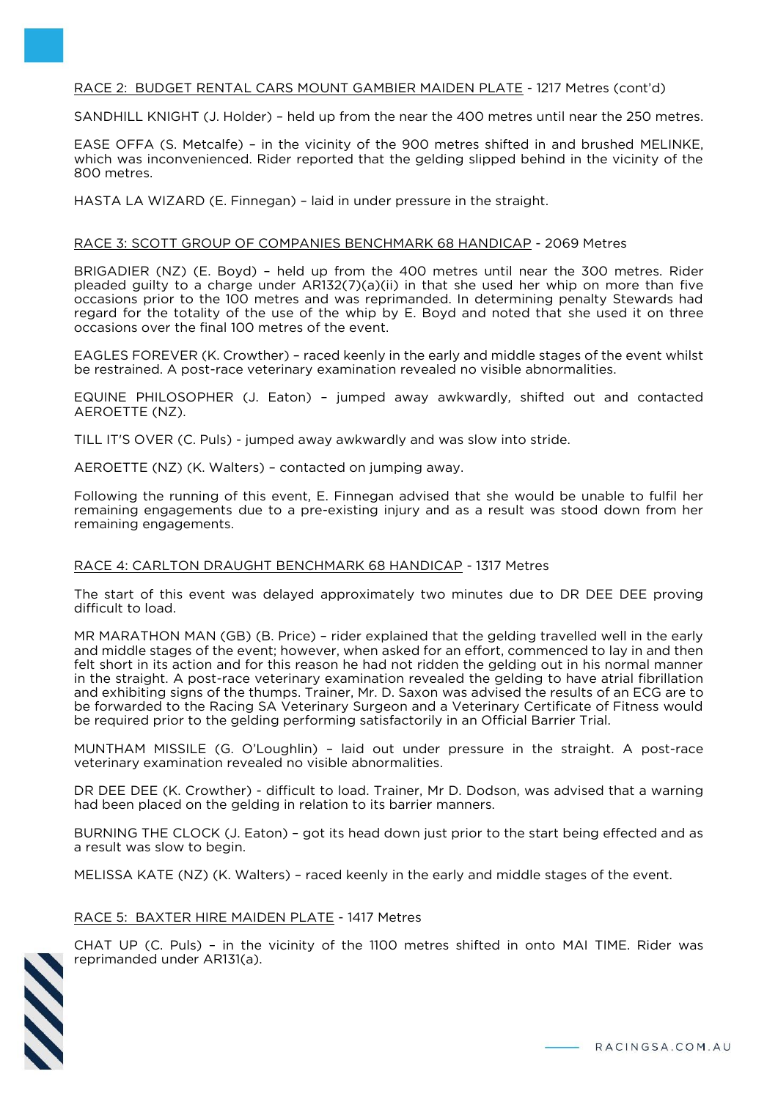# RACE 2: BUDGET RENTAL CARS MOUNT GAMBIER MAIDEN PLATE - 1217 Metres (cont'd)

SANDHILL KNIGHT (J. Holder) – held up from the near the 400 metres until near the 250 metres.

EASE OFFA (S. Metcalfe) – in the vicinity of the 900 metres shifted in and brushed MELINKE, which was inconvenienced. Rider reported that the gelding slipped behind in the vicinity of the 800 metres.

HASTA LA WIZARD (E. Finnegan) – laid in under pressure in the straight.

#### RACE 3: SCOTT GROUP OF COMPANIES BENCHMARK 68 HANDICAP - 2069 Metres

BRIGADIER (NZ) (E. Boyd) – held up from the 400 metres until near the 300 metres. Rider pleaded guilty to a charge under AR132(7)(a)(ii) in that she used her whip on more than five occasions prior to the 100 metres and was reprimanded. In determining penalty Stewards had regard for the totality of the use of the whip by E. Boyd and noted that she used it on three occasions over the final 100 metres of the event.

EAGLES FOREVER (K. Crowther) – raced keenly in the early and middle stages of the event whilst be restrained. A post-race veterinary examination revealed no visible abnormalities.

EQUINE PHILOSOPHER (J. Eaton) – jumped away awkwardly, shifted out and contacted AEROETTE (NZ).

TILL IT'S OVER (C. Puls) - jumped away awkwardly and was slow into stride.

AEROETTE (NZ) (K. Walters) – contacted on jumping away.

Following the running of this event, E. Finnegan advised that she would be unable to fulfil her remaining engagements due to a pre-existing injury and as a result was stood down from her remaining engagements.

# RACE 4: CARLTON DRAUGHT BENCHMARK 68 HANDICAP - 1317 Metres

The start of this event was delayed approximately two minutes due to DR DEE DEE proving difficult to load.

MR MARATHON MAN (GB) (B. Price) – rider explained that the gelding travelled well in the early and middle stages of the event; however, when asked for an effort, commenced to lay in and then felt short in its action and for this reason he had not ridden the gelding out in his normal manner in the straight. A post-race veterinary examination revealed the gelding to have atrial fibrillation and exhibiting signs of the thumps. Trainer, Mr. D. Saxon was advised the results of an ECG are to be forwarded to the Racing SA Veterinary Surgeon and a Veterinary Certificate of Fitness would be required prior to the gelding performing satisfactorily in an Official Barrier Trial.

MUNTHAM MISSILE (G. O'Loughlin) – laid out under pressure in the straight. A post-race veterinary examination revealed no visible abnormalities.

DR DEE DEE (K. Crowther) - difficult to load. Trainer, Mr D. Dodson, was advised that a warning had been placed on the gelding in relation to its barrier manners.

BURNING THE CLOCK (J. Eaton) – got its head down just prior to the start being effected and as a result was slow to begin.

MELISSA KATE (NZ) (K. Walters) – raced keenly in the early and middle stages of the event.

#### RACE 5: BAXTER HIRE MAIDEN PLATE - 1417 Metres

CHAT UP (C. Puls) – in the vicinity of the 1100 metres shifted in onto MAI TIME. Rider was reprimanded under AR131(a).

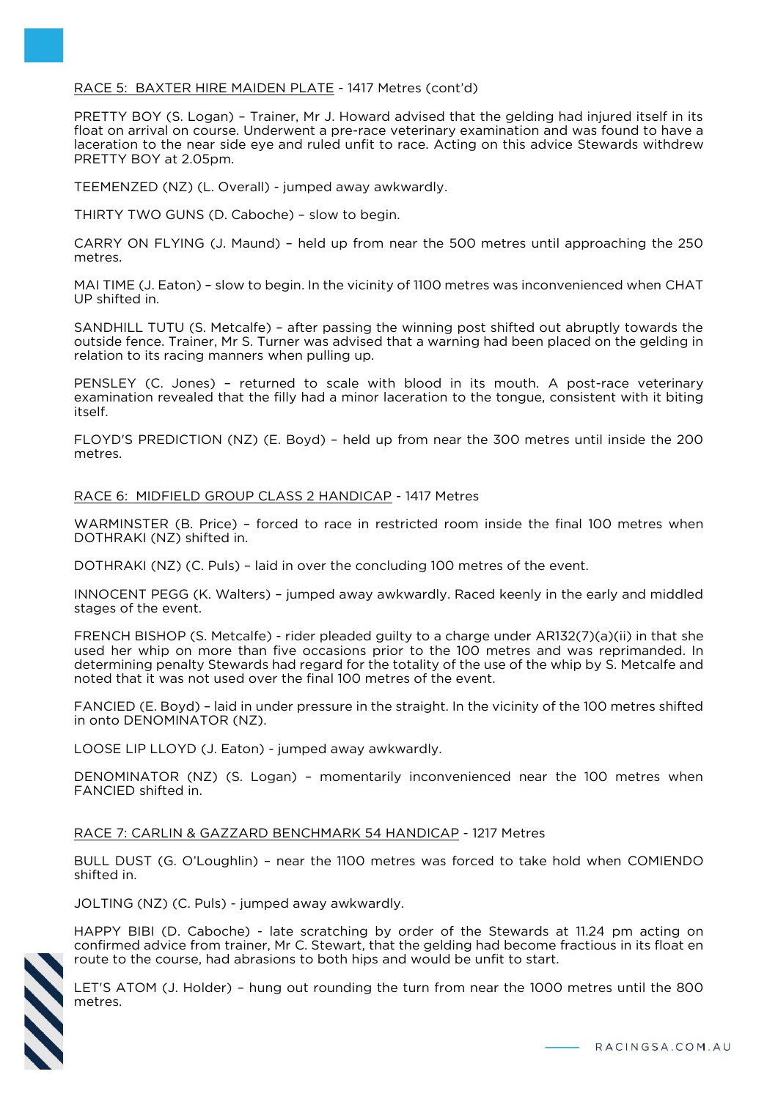### RACE 5: BAXTER HIRE MAIDEN PLATE - 1417 Metres (cont'd)

PRETTY BOY (S. Logan) – Trainer, Mr J. Howard advised that the gelding had injured itself in its float on arrival on course. Underwent a pre-race veterinary examination and was found to have a laceration to the near side eye and ruled unfit to race. Acting on this advice Stewards withdrew PRETTY BOY at 2.05pm.

TEEMENZED (NZ) (L. Overall) - jumped away awkwardly.

THIRTY TWO GUNS (D. Caboche) – slow to begin.

CARRY ON FLYING (J. Maund) – held up from near the 500 metres until approaching the 250 metres.

MAI TIME (J. Eaton) – slow to begin. In the vicinity of 1100 metres was inconvenienced when CHAT UP shifted in.

SANDHILL TUTU (S. Metcalfe) – after passing the winning post shifted out abruptly towards the outside fence. Trainer, Mr S. Turner was advised that a warning had been placed on the gelding in relation to its racing manners when pulling up.

PENSLEY (C. Jones) – returned to scale with blood in its mouth. A post-race veterinary examination revealed that the filly had a minor laceration to the tongue, consistent with it biting itself.

FLOYD'S PREDICTION (NZ) (E. Boyd) – held up from near the 300 metres until inside the 200 metres.

RACE 6: MIDFIELD GROUP CLASS 2 HANDICAP - 1417 Metres

WARMINSTER (B. Price) – forced to race in restricted room inside the final 100 metres when DOTHRAKI (NZ) shifted in.

DOTHRAKI (NZ) (C. Puls) – laid in over the concluding 100 metres of the event.

INNOCENT PEGG (K. Walters) – jumped away awkwardly. Raced keenly in the early and middled stages of the event.

FRENCH BISHOP (S. Metcalfe) - rider pleaded guilty to a charge under AR132(7)(a)(ii) in that she used her whip on more than five occasions prior to the 100 metres and was reprimanded. In determining penalty Stewards had regard for the totality of the use of the whip by S. Metcalfe and noted that it was not used over the final 100 metres of the event.

FANCIED (E. Boyd) – laid in under pressure in the straight. In the vicinity of the 100 metres shifted in onto DENOMINATOR (NZ).

LOOSE LIP LLOYD (J. Eaton) - jumped away awkwardly.

DENOMINATOR (NZ) (S. Logan) – momentarily inconvenienced near the 100 metres when FANCIED shifted in.

RACE 7: CARLIN & GAZZARD BENCHMARK 54 HANDICAP - 1217 Metres

BULL DUST (G. O'Loughlin) – near the 1100 metres was forced to take hold when COMIENDO shifted in.

JOLTING (NZ) (C. Puls) - jumped away awkwardly.

HAPPY BIBI (D. Caboche) - late scratching by order of the Stewards at 11.24 pm acting on confirmed advice from trainer, Mr C. Stewart, that the gelding had become fractious in its float en route to the course, had abrasions to both hips and would be unfit to start.



LET'S ATOM (J. Holder) – hung out rounding the turn from near the 1000 metres until the 800 metres.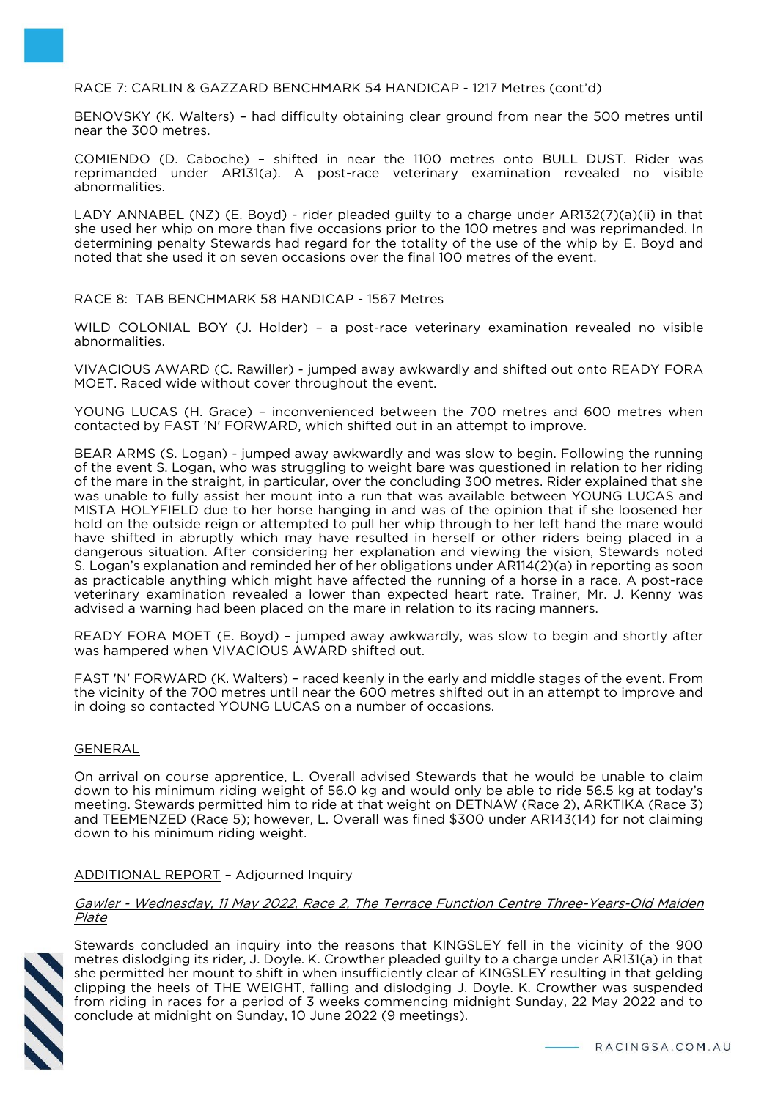# RACE 7: CARLIN & GAZZARD BENCHMARK 54 HANDICAP - 1217 Metres (cont'd)

BENOVSKY (K. Walters) – had difficulty obtaining clear ground from near the 500 metres until near the 300 metres.

COMIENDO (D. Caboche) – shifted in near the 1100 metres onto BULL DUST. Rider was reprimanded under AR131(a). A post-race veterinary examination revealed no visible abnormalities.

LADY ANNABEL (NZ) (E. Boyd) - rider pleaded guilty to a charge under AR132(7)(a)(ii) in that she used her whip on more than five occasions prior to the 100 metres and was reprimanded. In determining penalty Stewards had regard for the totality of the use of the whip by E. Boyd and noted that she used it on seven occasions over the final 100 metres of the event.

#### RACE 8: TAB BENCHMARK 58 HANDICAP - 1567 Metres

WILD COLONIAL BOY (J. Holder) – a post-race veterinary examination revealed no visible abnormalities.

VIVACIOUS AWARD (C. Rawiller) - jumped away awkwardly and shifted out onto READY FORA MOET. Raced wide without cover throughout the event.

YOUNG LUCAS (H. Grace) – inconvenienced between the 700 metres and 600 metres when contacted by FAST 'N' FORWARD, which shifted out in an attempt to improve.

BEAR ARMS (S. Logan) - jumped away awkwardly and was slow to begin. Following the running of the event S. Logan, who was struggling to weight bare was questioned in relation to her riding of the mare in the straight, in particular, over the concluding 300 metres. Rider explained that she was unable to fully assist her mount into a run that was available between YOUNG LUCAS and MISTA HOLYFIELD due to her horse hanging in and was of the opinion that if she loosened her hold on the outside reign or attempted to pull her whip through to her left hand the mare would have shifted in abruptly which may have resulted in herself or other riders being placed in a dangerous situation. After considering her explanation and viewing the vision, Stewards noted S. Logan's explanation and reminded her of her obligations under AR114(2)(a) in reporting as soon as practicable anything which might have affected the running of a horse in a race. A post-race veterinary examination revealed a lower than expected heart rate. Trainer, Mr. J. Kenny was advised a warning had been placed on the mare in relation to its racing manners.

READY FORA MOET (E. Boyd) – jumped away awkwardly, was slow to begin and shortly after was hampered when VIVACIOUS AWARD shifted out.

FAST 'N' FORWARD (K. Walters) – raced keenly in the early and middle stages of the event. From the vicinity of the 700 metres until near the 600 metres shifted out in an attempt to improve and in doing so contacted YOUNG LUCAS on a number of occasions.

#### GENERAL

On arrival on course apprentice, L. Overall advised Stewards that he would be unable to claim down to his minimum riding weight of 56.0 kg and would only be able to ride 56.5 kg at today's meeting. Stewards permitted him to ride at that weight on DETNAW (Race 2), ARKTIKA (Race 3) and TEEMENZED (Race 5); however, L. Overall was fined \$300 under AR143(14) for not claiming down to his minimum riding weight.

#### ADDITIONAL REPORT – Adjourned Inquiry

#### Gawler - Wednesday, 11 May 2022, Race 2, The Terrace Function Centre Three-Years-Old Maiden Plate



Stewards concluded an inquiry into the reasons that KINGSLEY fell in the vicinity of the 900 metres dislodging its rider, J. Doyle. K. Crowther pleaded guilty to a charge under AR131(a) in that she permitted her mount to shift in when insufficiently clear of KINGSLEY resulting in that gelding clipping the heels of THE WEIGHT, falling and dislodging J. Doyle. K. Crowther was suspended from riding in races for a period of 3 weeks commencing midnight Sunday, 22 May 2022 and to conclude at midnight on Sunday, 10 June 2022 (9 meetings).